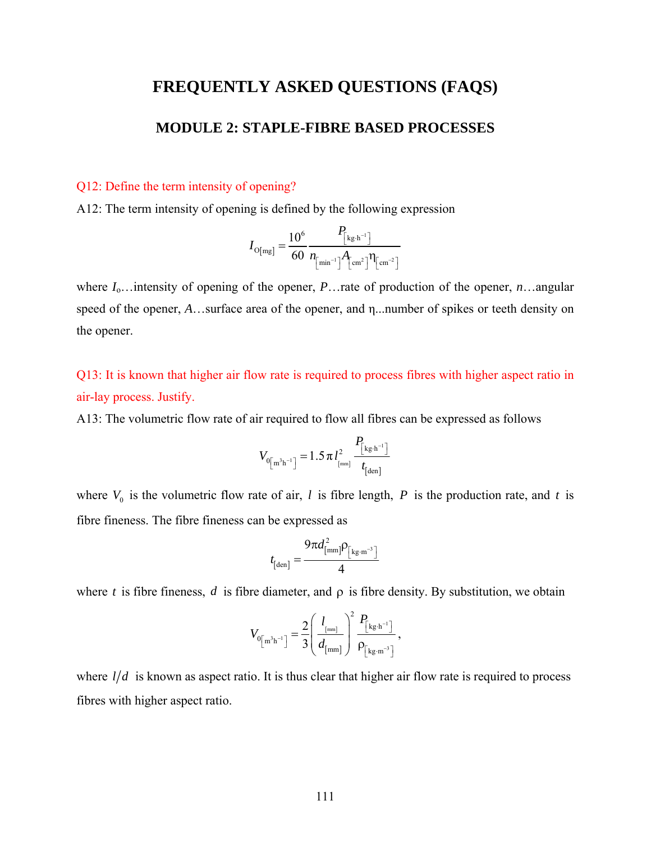## **FREQUENTLY ASKED QUESTIONS (FAQS)**

## **MODULE 2: STAPLE-FIBRE BASED PROCESSES**

## Q12: Define the term intensity of opening?

A12: The term intensity of opening is defined by the following expression

$$
I_{\text{O[mg]}} = \frac{10^6}{60} \frac{P_{\text{[kg\cdot h}^{-1}]}}{n_{\text{[min}^{-1}]} A_{\text{[cm}^2} \eta_{\text{[cm}^{-2}]}}
$$

where *I*o…intensity of opening of the opener, *P*…rate of production of the opener, *n*…angular speed of the opener, *A*…surface area of the opener, and η...number of spikes or teeth density on the opener.

Q13: It is known that higher air flow rate is required to process fibres with higher aspect ratio in air-lay process. Justify.

A13: The volumetric flow rate of air required to flow all fibres can be expressed as follows

$$
V_{0\left[\text{m}^3\text{h}^{-1}\right]} = 1.5 \pi l_{\text{[mm]}}^2 \frac{P_{\text{[kg} \cdot \text{h}^{-1}]}}{t_{\text{[den]}}}
$$

where  $V_0$  is the volumetric flow rate of air, *l* is fibre length, *P* is the production rate, and *t* is fibre fineness. The fibre fineness can be expressed as

$$
t_{\text{[den]}} = \frac{9\pi d_{\text{[mm]}}^2 \rho_{\text{[kg.m$^{-3}$}]}}{4}
$$

where *t* is fibre fineness, *d* is fibre diameter, and  $\rho$  is fibre density. By substitution, we obtain

$$
V_{0\left[\text{m}^3\text{h}^{-1}\right]} = \frac{2}{3} \left( \frac{l_{\text{[mm]}}}{d_{\text{[mm]}}}\right)^2 \frac{P_{\text{[kg}\cdot\text{h}^{-1}]}}{P_{\text{[kg}\cdot\text{m}^{-3}]}} ,
$$

where  $l/d$  is known as aspect ratio. It is thus clear that higher air flow rate is required to process fibres with higher aspect ratio.